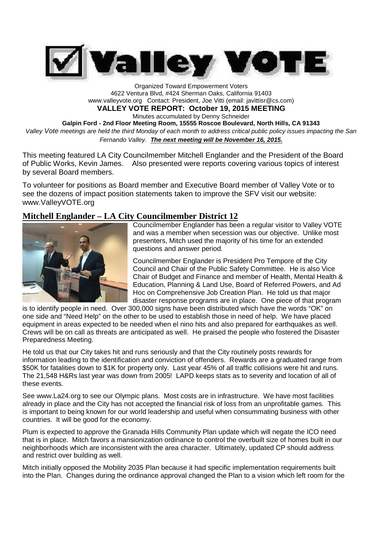

Organized Toward Empowerment Voters 4622 Ventura Blvd, #424 Sherman Oaks, California 91403 www.valleyvote.org Contact: President, Joe Vitti (email: javittisr@cs.com) **VALLEY VOTE REPORT: October 19, 2015 MEETING** Minutes accumulated by Denny Schneider **Galpin Ford - 2nd Floor Meeting Room, 15555 Roscoe Boulevard, North Hills, CA 91343** *Valley Vote meetings are held the third Monday of each month to address critical public policy issues impacting the San Fernando Valley. The next meeting will be November 16, 2015.*

This meeting featured LA City Councilmember Mitchell Englander and the President of the Board of Public Works, Kevin James. Also presented were reports covering various topics of interest by several Board members.

To volunteer for positions as Board member and Executive Board member of Valley Vote or to see the dozens of impact position statements taken to improve the SFV visit our website: www.ValleyVOTE.org

#### **Mitchell Englander – LA City Councilmember District 12**



Councilmember Englander has been a regular visitor to Valley VOTE and was a member when secession was our objective. Unlike most presenters, Mitch used the majority of his time for an extended questions and answer period.

Councilmember Englander is President Pro Tempore of the City Council and Chair of the Public Safety Committee. He is also Vice Chair of Budget and Finance and member of Health, Mental Health & Education, Planning & Land Use, Board of Referred Powers, and Ad Hoc on Comprehensive Job Creation Plan. He told us that major disaster response programs are in place. One piece of that program

is to identify people in need. Over 300,000 signs have been distributed which have the words "OK" on one side and "Need Help" on the other to be used to establish those in need of help. We have placed equipment in areas expected to be needed when el nino hits and also prepared for earthquakes as well. Crews will be on call as threats are anticipated as well. He praised the people who fostered the Disaster Preparedness Meeting.

He told us that our City takes hit and runs seriously and that the City routinely posts rewards for information leading to the identification and conviction of offenders. Rewards are a graduated range from \$50K for fatalities down to \$1K for property only. Last year 45% of all traffic collisions were hit and runs. The 21,548 H&Rs last year was down from 2005! LAPD keeps stats as to severity and location of all of these events.

See www.La24.org to see our Olympic plans. Most costs are in infrastructure. We have most facilities already in place and the City has not accepted the financial risk of loss from an unprofitable games. This is important to being known for our world leadership and useful when consummating business with other countries. It will be good for the economy.

Plum is expected to approve the Granada Hills Community Plan update which will negate the ICO need that is in place. Mitch favors a mansionization ordinance to control the overbuilt size of homes built in our neighborhoods which are inconsistent with the area character. Ultimately, updated CP should address and restrict over building as well.

Mitch initially opposed the Mobility 2035 Plan because it had specific implementation requirements built into the Plan. Changes during the ordinance approval changed the Plan to a vision which left room for the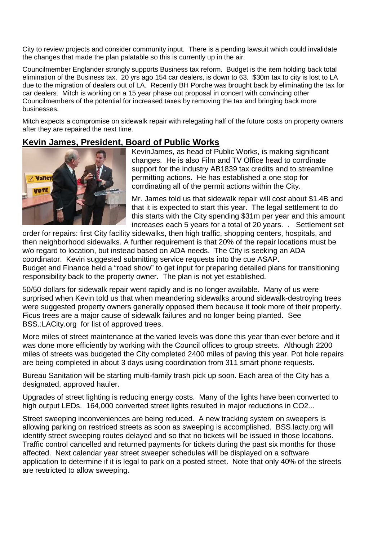City to review projects and consider community input. There is a pending lawsuit which could invalidate the changes that made the plan palatable so this is currently up in the air.

Councilmember Englander strongly supports Business tax reform. Budget is the item holding back total elimination of the Business tax. 20 yrs ago 154 car dealers, is down to 63. \$30m tax to city is lost to LA due to the migration of dealers out of LA. Recently BH Porche was brought back by eliminating the tax for car dealers. Mitch is working on a 15 year phase out proposal in concert with convincing other Councilmembers of the potential for increased taxes by removing the tax and bringing back more businesses.

Mitch expects a compromise on sidewalk repair with relegating half of the future costs on property owners after they are repaired the next time.

## **Kevin James, President, Board of Public Works**



KevinJames, as head of Public Works, is making significant changes. He is also Film and TV Office head to corrdinate support for the industry AB1839 tax credits and to streamline permitting actions. He has established a one stop for corrdinating all of the permit actions within the City.

Mr. James told us that sidewalk repair will cost about \$1.4B and that it is expected to start this year. The legal settlement to do this starts with the City spending \$31m per year and this amount increases each 5 years for a total of 20 years. . Settlement set

order for repairs: first City facility sidewalks, then high traffic, shopping centers, hospitals, and then neighborhood sidewalks. A further requirement is that 20% of the repair locations must be w/o regard to location, but instead based on ADA needs. The City is seeking an ADA coordinator. Kevin suggested submitting service requests into the cue ASAP. Budget and Finance held a "road show" to get input for preparing detailed plans for transitioning responsibility back to the property owner. The plan is not yet established.

50/50 dollars for sidewalk repair went rapidly and is no longer available. Many of us were surprised when Kevin told us that when meandering sidewalks around sidewalk-destroying trees were suggested property owners generally opposed them because it took more of their property. Ficus trees are a major cause of sidewalk failures and no longer being planted. See BSS.:LACity.org for list of approved trees.

More miles of street maintenance at the varied levels was done this year than ever before and it was done more efficiently by working with the Council offices to group streets. Although 2200 miles of streets was budgeted the City completed 2400 miles of paving this year. Pot hole repairs are being completed in about 3 days using coordination from 311 smart phone requests.

Bureau Sanitation will be starting multi-family trash pick up soon. Each area of the City has a designated, approved hauler.

Upgrades of street lighting is reducing energy costs. Many of the lights have been converted to high output LEDs. 164,000 converted street lights resulted in major reductions in CO2...

Street sweeping inconveniences are being reduced. A new tracking system on sweepers is allowing parking on restriced streets as soon as sweeping is accomplished. BSS.lacty.org will identify street sweeping routes delayed and so that no tickets will be issued in those locations. Traffic control cancelled and returned payments for tickets during the past six months for those affected. Next calendar year street sweeper schedules will be displayed on a software application to determine if it is legal to park on a posted street. Note that only 40% of the streets are restricted to allow sweeping.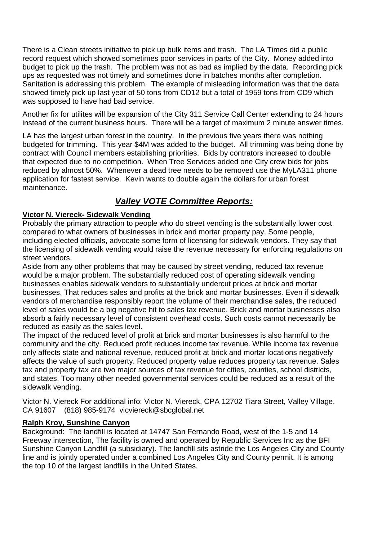There is a Clean streets initiative to pick up bulk items and trash. The LA Times did a public record request which showed sometimes poor services in parts of the City. Money added into budget to pick up the trash. The problem was not as bad as implied by the data. Recording pick ups as requested was not timely and sometimes done in batches months after completion. Sanitation is addressing this problem. The example of misleading information was that the data showed timely pick up last year of 50 tons from CD12 but a total of 1959 tons from CD9 which was supposed to have had bad service.

Another fix for utilites will be expansion of the City 311 Service Call Center extending to 24 hours instead of the current business hours. There will be a target of maximum 2 minute answer times.

LA has the largest urban forest in the country. In the previous five years there was nothing budgeted for trimming. This year \$4M was added to the budget. All trimming was being done by contract with Council members establishing priorities. Bids by contrators increased to double that expected due to no competition. When Tree Services added one City crew bids for jobs reduced by almost 50%. Whenever a dead tree needs to be removed use the MyLA311 phone application for fastest service. Kevin wants to double again the dollars for urban forest maintenance.

# *Valley VOTE Committee Reports:*

### **Victor N. Viereck- Sidewalk Vending**

Probably the primary attraction to people who do street vending is the substantially lower cost compared to what owners of businesses in brick and mortar property pay. Some people, including elected officials, advocate some form of licensing for sidewalk vendors. They say that the licensing of sidewalk vending would raise the revenue necessary for enforcing regulations on street vendors.

Aside from any other problems that may be caused by street vending, reduced tax revenue would be a major problem. The substantially reduced cost of operating sidewalk vending businesses enables sidewalk vendors to substantially undercut prices at brick and mortar businesses. That reduces sales and profits at the brick and mortar businesses. Even if sidewalk vendors of merchandise responsibly report the volume of their merchandise sales, the reduced level of sales would be a big negative hit to sales tax revenue. Brick and mortar businesses also absorb a fairly necessary level of consistent overhead costs. Such costs cannot necessarily be reduced as easily as the sales level.

The impact of the reduced level of profit at brick and mortar businesses is also harmful to the community and the city. Reduced profit reduces income tax revenue. While income tax revenue only affects state and national revenue, reduced profit at brick and mortar locations negatively affects the value of such property. Reduced property value reduces property tax revenue. Sales tax and property tax are two major sources of tax revenue for cities, counties, school districts, and states. Too many other needed governmental services could be reduced as a result of the sidewalk vending.

Victor N. Viereck For additional info: Victor N. Viereck, CPA 12702 Tiara Street, Valley Village, CA 91607 (818) 985-9174 vicviereck@sbcglobal.net

### **Ralph Kroy, Sunshine Canyon**

Background: The landfill is located at 14747 San Fernando Road, west of the 1-5 and 14 Freeway intersection, The facility is owned and operated by Republic Services Inc as the BFI Sunshine Canyon Landfill (a subsidiary). The landfill sits astride the Los Angeles City and County line and is jointly operated under a combined Los Angeles City and County permit. It is among the top 10 of the largest landfills in the United States.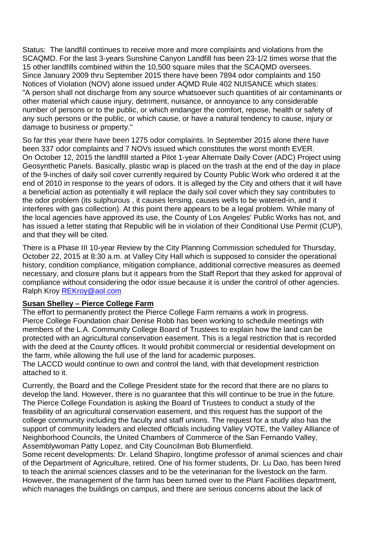Status: The landfill continues to receive more and more complaints and violations from the SCAQMD. For the last 3-years Sunshine Canyon Landfill has been 23-1/2 times worse that the 15 other landfills combined within the 10,500 square miles that the SCAQMD oversees. Since January 2009 thru September 2015 there have been 7894 odor complaints and 150 Notices of Violation (NOV) alone issued under AQMD Rule 402 NUISANCE which states: "A person shall not discharge from any source whatsoever such quantities of air contaminants or other material which cause injury, detriment, nuisance, or annoyance to any considerable number of persons or to the public, or which endanger the comfort, repose, health or safety of any such persons or the public, or which cause, or have a natural tendency to cause, injury or damage to business or property."

So far this year there have been 1275 odor complaints. In September 2015 alone there have been 337 odor complaints and 7 NOVs issued which constitutes the worst month EVER. On October 12, 2015 the landfill started a Pilot 1-year Alternate Daily Cover (ADC) Project using Geosynthetic Panels. Basically, plastic wrap is placed on the trash at the end of the day in place of the 9-inches of daily soil cover currently required by County Public Work who ordered it at the end of 2010 in response to the years of odors. It is alleged by the City and others that it will have a beneficial action as potentially it will replace the daily soil cover which they say contributes to the odor problem (its sulphurous , it causes lensing, causes wells to be watered-in, and it interferes with gas collection). At this point there appears to be a legal problem. While many of the local agencies have approved its use, the County of Los Angeles' Public Works has not, and has issued a letter stating that Republic will be in violation of their Conditional Use Permit (CUP), and that they will be cited.

There is a Phase III 10-year Review by the City Planning Commission scheduled for Thursday, October 22, 2015 at 8:30 a.m. at Valley City Hall which is supposed to consider the operational history, condition compliance, mitigation compliance, additional corrective measures as deemed necessary, and closure plans but it appears from the Staff Report that they asked for approval of compliance without considering the odor issue because it is under the control of other agencies. Ralph Kroy REKroy@aol.com

#### **Susan Shelley – Pierce College Farm**

The effort to permanently protect the Pierce College Farm remains a work in progress. Pierce College Foundation chair Denise Robb has been working to schedule meetings with members of the L.A. Community College Board of Trustees to explain how the land can be protected with an agricultural conservation easement. This is a legal restriction that is recorded with the deed at the County offices. It would prohibit commercial or residential development on the farm, while allowing the full use of the land for academic purposes.

The LACCD would continue to own and control the land, with that development restriction attached to it.

Currently, the Board and the College President state for the record that there are no plans to develop the land. However, there is no guarantee that this will continue to be true in the future. The Pierce College Foundation is asking the Board of Trustees to conduct a study of the feasibility of an agricultural conservation easement, and this request has the support of the college community including the faculty and staff unions. The request for a study also has the support of community leaders and elected officials including Valley VOTE, the Valley Alliance of Neighborhood Councils, the United Chambers of Commerce of the San Fernando Valley, Assemblywoman Patty Lopez, and City Councilman Bob Blumenfield.

Some recent developments: Dr. Leland Shapiro, longtime professor of animal sciences and chair of the Department of Agriculture, retired. One of his former students, Dr. Lu Dao, has been hired to teach the animal sciences classes and to be the veterinarian for the livestock on the farm. However, the management of the farm has been turned over to the Plant Facilities department, which manages the buildings on campus, and there are serious concerns about the lack of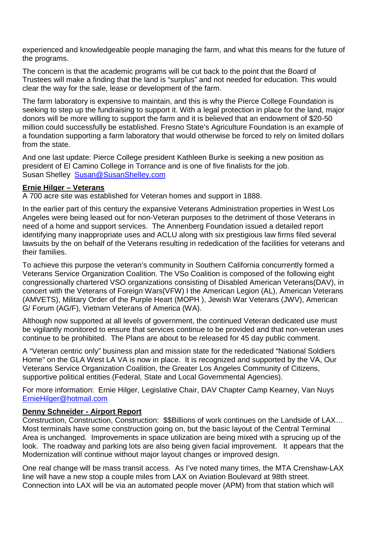experienced and knowledgeable people managing the farm, and what this means for the future of the programs.

The concern is that the academic programs will be cut back to the point that the Board of Trustees will make a finding that the land is "surplus" and not needed for education. This would clear the way for the sale, lease or development of the farm.

The farm laboratory is expensive to maintain, and this is why the Pierce College Foundation is seeking to step up the fundraising to support it. With a legal protection in place for the land, major donors will be more willing to support the farm and it is believed that an endowment of \$20-50 million could successfully be established. Fresno State's Agriculture Foundation is an example of a foundation supporting a farm laboratory that would otherwise be forced to rely on limited dollars from the state.

And one last update: Pierce College president Kathleen Burke is seeking a new position as president of El Camino College in Torrance and is one of five finalists for the job. Susan Shelley Susan@SusanShelley.com

#### **Ernie Hilger – Veterans**

A 700 acre site was established for Veteran homes and support in 1888.

In the earlier part of this century the expansive Veterans Administration properties in West Los Angeles were being leased out for non-Veteran purposes to the detriment of those Veterans in need of a home and support services. The Annenberg Foundation issued a detailed report identifying many inappropriate uses and ACLU along with six prestigious law firms filed several lawsuits by the on behalf of the Veterans resulting in rededication of the facilities for veterans and their families.

To achieve this purpose the veteran's community in Southern California concurrently formed a Veterans Service Organization Coalition. The VSo Coalition is composed of the following eight congressionally chartered VSO organizations consisting of Disabled American Veterans(DAV), in concert with the Veterans of Foreign Wars(VFW) I the American Legion (AL), American Veterans (AMVETS), Military Order of the Purple Heart (MOPH ), Jewish War Veterans (JWV), American G/ Forum (AG/F), Vietnam Veterans of America (WA).

Although now supported at all levels of government, the continued Veteran dedicated use must be vigilantly monitored to ensure that services continue to be provided and that non-veteran uses continue to be prohibited. The Plans are about to be released for 45 day public comment.

A "Veteran centric only" business plan and mission state for the rededicated "National Soldiers Home" on the GLA West LA VA is now in place. It is recognized and supported by the VA, Our Veterans Service Organization Coalition, the Greater Los Angeles Community of Citizens, supportive political entities (Federal, State and Local Governmental Agencies).

For more information: Ernie Hilger, Legislative Chair, DAV Chapter Camp Kearney, Van Nuys ErnieHilger@hotmail.com

#### **Denny Schneider - Airport Report**

Construction, Construction, Construction: \$\$Billions of work continues on the Landside of LAX… Most terminals have some construction going on, but the basic layout of the Central Terminal Area is unchanged. Improvements in space utilization are being mixed with a sprucing up of the look. The roadway and parking lots are also being given facial improvement. It appears that the Modernization will continue without major layout changes or improved design.

One real change will be mass transit access. As I've noted many times, the MTA Crenshaw-LAX line will have a new stop a couple miles from LAX on Aviation Boulevard at 98th street. Connection into LAX will be via an automated people mover (APM) from that station which will